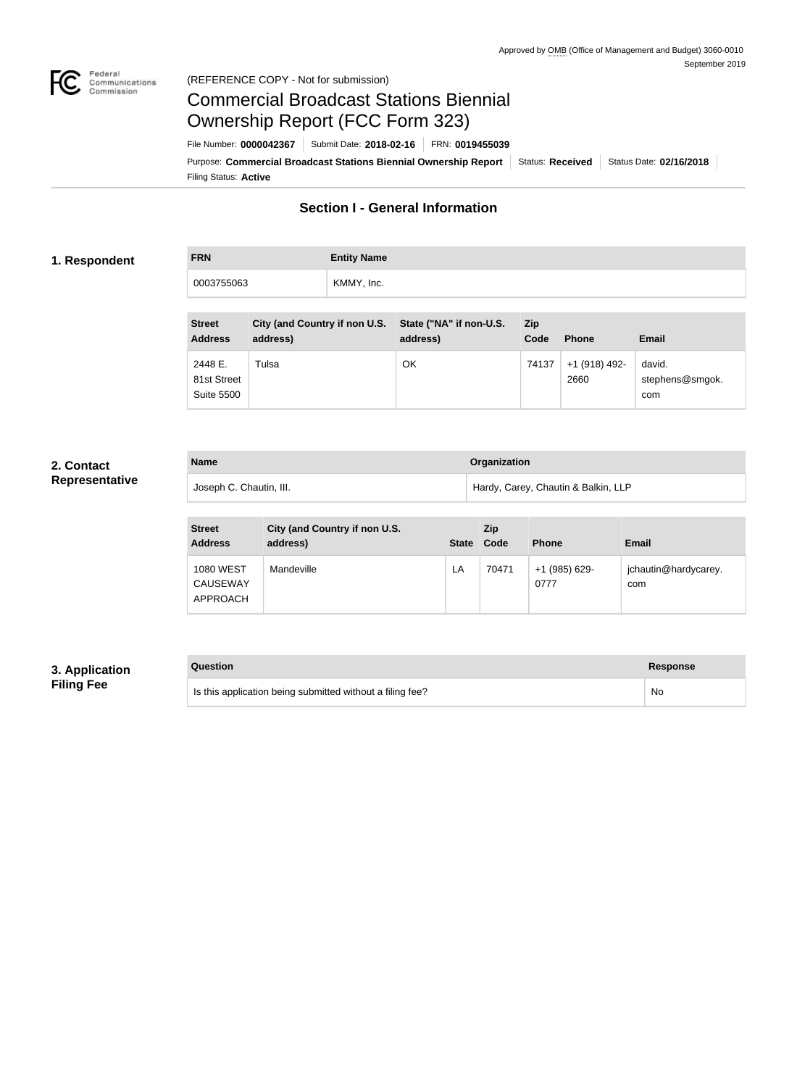

#### Federal<br>Communications<br>Commission (REFERENCE COPY - Not for submission)

## Commercial Broadcast Stations Biennial Ownership Report (FCC Form 323)

Filing Status: **Active** Purpose: Commercial Broadcast Stations Biennial Ownership Report Status: Received Status Date: 02/16/2018 File Number: **0000042367** Submit Date: **2018-02-16** FRN: **0019455039**

## **Section I - General Information**

#### **1. Respondent**

**FRN Entity Name** 0003755063 KMMY, Inc.

| <b>Street</b><br><b>Address</b>             | City (and Country if non U.S.<br>address) | State ("NA" if non-U.S.<br>address) | <b>Zip</b><br>Code | <b>Phone</b>          | <b>Email</b>                     |
|---------------------------------------------|-------------------------------------------|-------------------------------------|--------------------|-----------------------|----------------------------------|
| 2448 E.<br>81st Street<br><b>Suite 5500</b> | Tulsa                                     | OK                                  | 74137              | +1 (918) 492-<br>2660 | david.<br>stephens@smgok.<br>com |

## **2. Contact Representative**

| <b>Name</b> |                         | <b>Organization</b>                 |  |
|-------------|-------------------------|-------------------------------------|--|
|             | Joseph C. Chautin, III. | Hardy, Carey, Chautin & Balkin, LLP |  |

| <b>Street</b><br><b>Address</b>                 | City (and Country if non U.S.<br>address) | <b>State</b> | Zip<br>Code | <b>Phone</b>          | Email                       |
|-------------------------------------------------|-------------------------------------------|--------------|-------------|-----------------------|-----------------------------|
| <b>1080 WEST</b><br><b>CAUSEWAY</b><br>APPROACH | Mandeville                                | LA           | 70471       | +1 (985) 629-<br>0777 | jchautin@hardycarey.<br>com |

## **3. Application Filing Fee**

# **Question Response** Is this application being submitted without a filing fee? No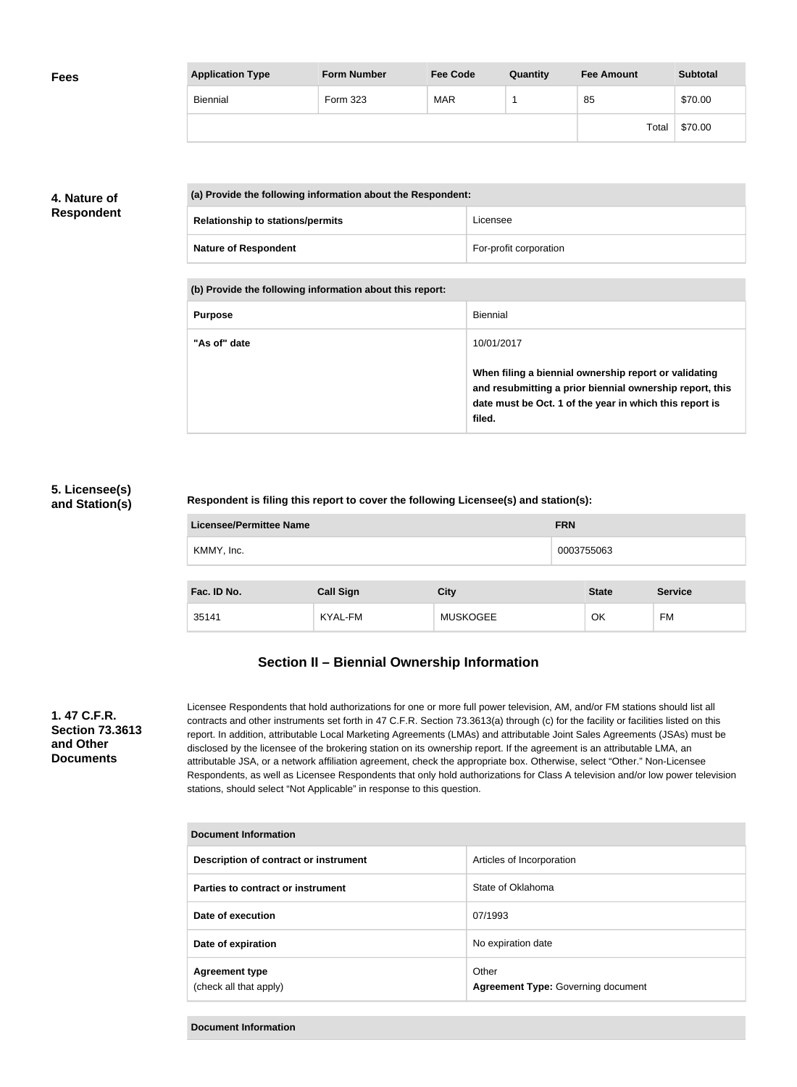| <b>Fees</b> | <b>Application Type</b> | <b>Form Number</b> | <b>Fee Code</b> | Quantity | <b>Fee Amount</b> | <b>Subtotal</b> |
|-------------|-------------------------|--------------------|-----------------|----------|-------------------|-----------------|
|             | Biennial                | Form 323           | <b>MAR</b>      |          | 85                | \$70.00         |
|             |                         |                    |                 |          | Total             | \$70.00         |

## **4. Nature of Respondent**

| (a) Provide the following information about the Respondent: |                        |  |  |
|-------------------------------------------------------------|------------------------|--|--|
| <b>Relationship to stations/permits</b>                     | Licensee               |  |  |
| <b>Nature of Respondent</b>                                 | For-profit corporation |  |  |

**(b) Provide the following information about this report:**

| <b>Purpose</b> | Biennial                                                                                                                                                                               |
|----------------|----------------------------------------------------------------------------------------------------------------------------------------------------------------------------------------|
| "As of" date   | 10/01/2017                                                                                                                                                                             |
|                | When filing a biennial ownership report or validating<br>and resubmitting a prior biennial ownership report, this<br>date must be Oct. 1 of the year in which this report is<br>filed. |

## **5. Licensee(s) and Station(s)**

#### **Respondent is filing this report to cover the following Licensee(s) and station(s):**

| <b>Licensee/Permittee Name</b> |                  | <b>FRN</b>      |              |                |  |
|--------------------------------|------------------|-----------------|--------------|----------------|--|
| KMMY, Inc.                     |                  |                 | 0003755063   |                |  |
|                                |                  |                 |              |                |  |
| Fac. ID No.                    | <b>Call Sign</b> | <b>City</b>     | <b>State</b> | <b>Service</b> |  |
| 35141                          | KYAL-FM          | <b>MUSKOGEE</b> | OK           | FM             |  |

## **Section II – Biennial Ownership Information**

#### **1. 47 C.F.R. Section 73.3613 and Other Documents**

Licensee Respondents that hold authorizations for one or more full power television, AM, and/or FM stations should list all contracts and other instruments set forth in 47 C.F.R. Section 73.3613(a) through (c) for the facility or facilities listed on this report. In addition, attributable Local Marketing Agreements (LMAs) and attributable Joint Sales Agreements (JSAs) must be disclosed by the licensee of the brokering station on its ownership report. If the agreement is an attributable LMA, an attributable JSA, or a network affiliation agreement, check the appropriate box. Otherwise, select "Other." Non-Licensee Respondents, as well as Licensee Respondents that only hold authorizations for Class A television and/or low power television stations, should select "Not Applicable" in response to this question.

| Document Information                            |                                                    |  |  |  |  |
|-------------------------------------------------|----------------------------------------------------|--|--|--|--|
| Description of contract or instrument           | Articles of Incorporation                          |  |  |  |  |
| Parties to contract or instrument               | State of Oklahoma                                  |  |  |  |  |
| Date of execution                               | 07/1993                                            |  |  |  |  |
| Date of expiration                              | No expiration date                                 |  |  |  |  |
| <b>Agreement type</b><br>(check all that apply) | Other<br><b>Agreement Type: Governing document</b> |  |  |  |  |

**Document Information**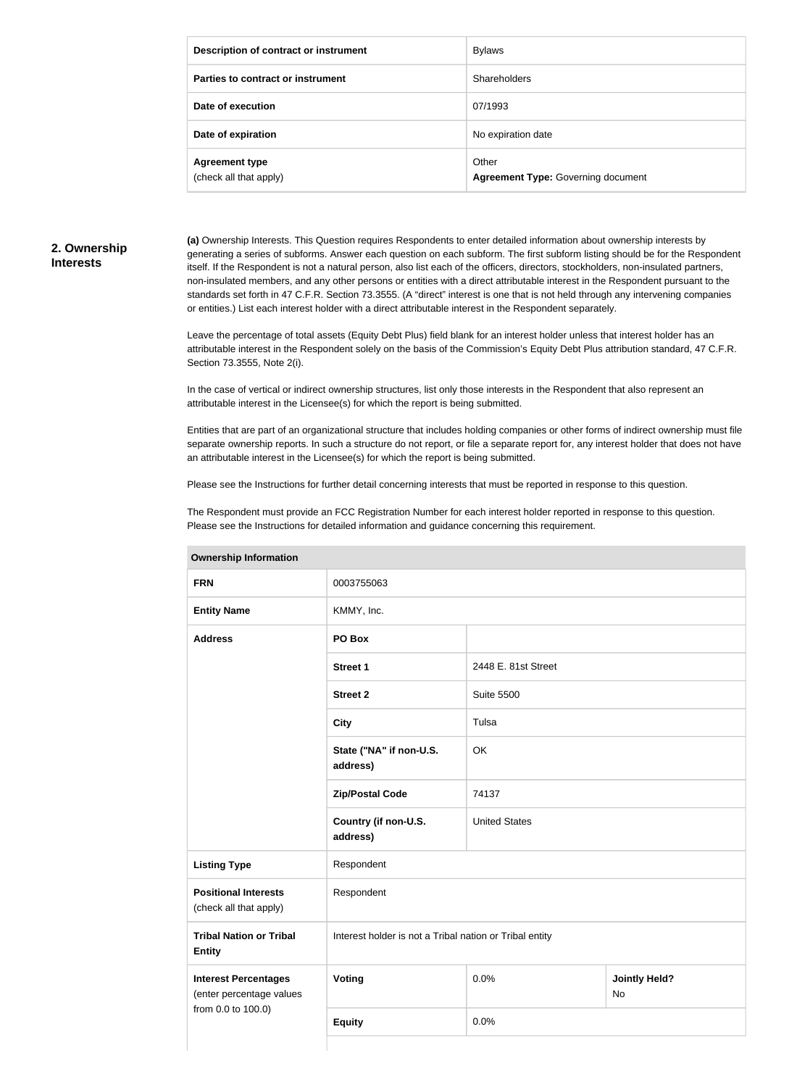| Description of contract or instrument           | <b>Bylaws</b>                                      |
|-------------------------------------------------|----------------------------------------------------|
| Parties to contract or instrument               | Shareholders                                       |
| Date of execution                               | 07/1993                                            |
| Date of expiration                              | No expiration date                                 |
| <b>Agreement type</b><br>(check all that apply) | Other<br><b>Agreement Type: Governing document</b> |

## **2. Ownership Interests**

**(a)** Ownership Interests. This Question requires Respondents to enter detailed information about ownership interests by generating a series of subforms. Answer each question on each subform. The first subform listing should be for the Respondent itself. If the Respondent is not a natural person, also list each of the officers, directors, stockholders, non-insulated partners, non-insulated members, and any other persons or entities with a direct attributable interest in the Respondent pursuant to the standards set forth in 47 C.F.R. Section 73.3555. (A "direct" interest is one that is not held through any intervening companies or entities.) List each interest holder with a direct attributable interest in the Respondent separately.

Leave the percentage of total assets (Equity Debt Plus) field blank for an interest holder unless that interest holder has an attributable interest in the Respondent solely on the basis of the Commission's Equity Debt Plus attribution standard, 47 C.F.R. Section 73.3555, Note 2(i).

In the case of vertical or indirect ownership structures, list only those interests in the Respondent that also represent an attributable interest in the Licensee(s) for which the report is being submitted.

Entities that are part of an organizational structure that includes holding companies or other forms of indirect ownership must file separate ownership reports. In such a structure do not report, or file a separate report for, any interest holder that does not have an attributable interest in the Licensee(s) for which the report is being submitted.

Please see the Instructions for further detail concerning interests that must be reported in response to this question.

The Respondent must provide an FCC Registration Number for each interest holder reported in response to this question. Please see the Instructions for detailed information and guidance concerning this requirement.

| <b>UWIIGI SHIP IHIUHIIGUUH</b>                          |                                                         |                      |                                   |  |  |
|---------------------------------------------------------|---------------------------------------------------------|----------------------|-----------------------------------|--|--|
| <b>FRN</b>                                              | 0003755063                                              |                      |                                   |  |  |
| <b>Entity Name</b>                                      | KMMY, Inc.                                              |                      |                                   |  |  |
| <b>Address</b>                                          | PO Box                                                  |                      |                                   |  |  |
|                                                         | <b>Street 1</b>                                         | 2448 E. 81st Street  |                                   |  |  |
|                                                         | <b>Street 2</b>                                         | <b>Suite 5500</b>    |                                   |  |  |
|                                                         | <b>City</b>                                             | Tulsa                |                                   |  |  |
|                                                         | State ("NA" if non-U.S.<br>address)                     | OK                   |                                   |  |  |
|                                                         | <b>Zip/Postal Code</b>                                  | 74137                |                                   |  |  |
|                                                         | Country (if non-U.S.<br>address)                        | <b>United States</b> |                                   |  |  |
| <b>Listing Type</b>                                     | Respondent                                              |                      |                                   |  |  |
| <b>Positional Interests</b><br>(check all that apply)   | Respondent                                              |                      |                                   |  |  |
| <b>Tribal Nation or Tribal</b><br><b>Entity</b>         | Interest holder is not a Tribal nation or Tribal entity |                      |                                   |  |  |
| <b>Interest Percentages</b><br>(enter percentage values | <b>Voting</b>                                           | 0.0%                 | <b>Jointly Held?</b><br><b>No</b> |  |  |
| from 0.0 to 100.0)                                      | <b>Equity</b>                                           | 0.0%                 |                                   |  |  |
|                                                         |                                                         |                      |                                   |  |  |

#### **Ownership Information**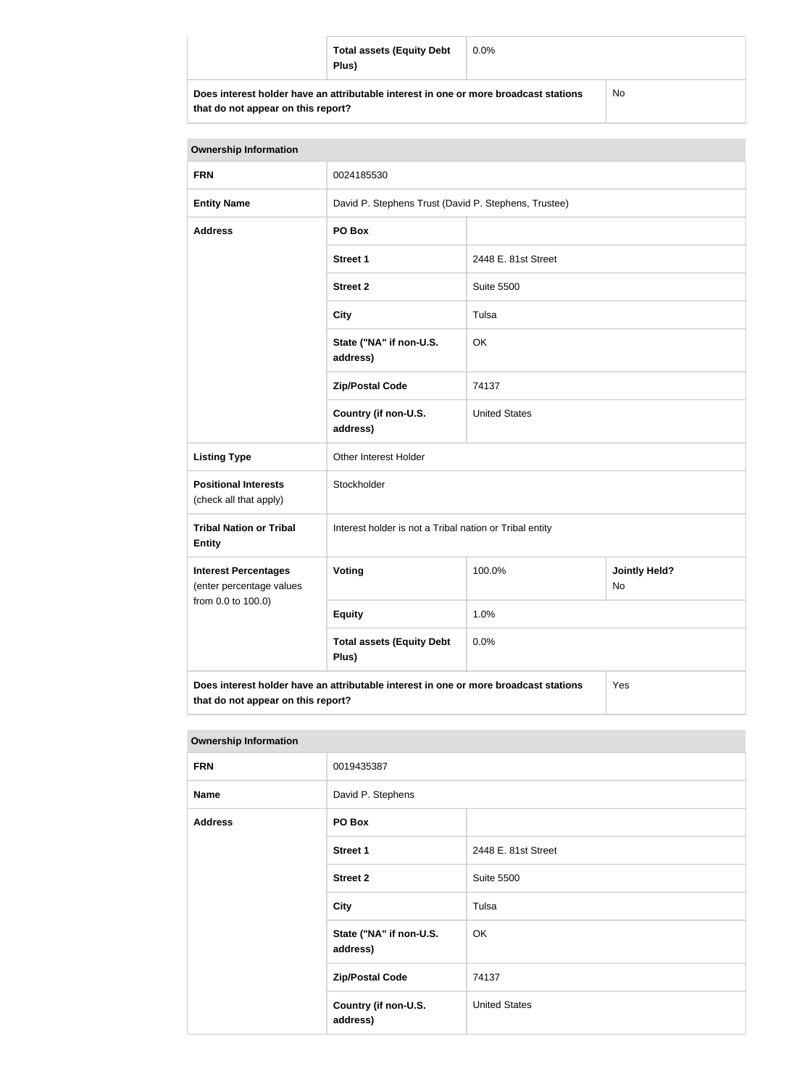|                                                                                      | <b>Total assets (Equity Debt</b><br>Plus) | $0.0\%$ |  |
|--------------------------------------------------------------------------------------|-------------------------------------------|---------|--|
| Does interest holder have an attributable interest in one or more broadcast stations |                                           | No      |  |

**that do not appear on this report?**

No

| <b>Ownership Information</b>                                                                |                                                         |                                                      |  |  |  |
|---------------------------------------------------------------------------------------------|---------------------------------------------------------|------------------------------------------------------|--|--|--|
| <b>FRN</b>                                                                                  | 0024185530                                              |                                                      |  |  |  |
| <b>Entity Name</b>                                                                          |                                                         | David P. Stephens Trust (David P. Stephens, Trustee) |  |  |  |
| <b>Address</b>                                                                              | PO Box                                                  |                                                      |  |  |  |
|                                                                                             | <b>Street 1</b>                                         | 2448 E. 81st Street                                  |  |  |  |
|                                                                                             | <b>Street 2</b>                                         | <b>Suite 5500</b>                                    |  |  |  |
|                                                                                             | <b>City</b>                                             | Tulsa                                                |  |  |  |
|                                                                                             | State ("NA" if non-U.S.<br>address)                     | OK                                                   |  |  |  |
|                                                                                             | <b>Zip/Postal Code</b>                                  | 74137                                                |  |  |  |
|                                                                                             | Country (if non-U.S.<br>address)                        | <b>United States</b>                                 |  |  |  |
| <b>Listing Type</b>                                                                         | Other Interest Holder                                   |                                                      |  |  |  |
| <b>Positional Interests</b><br>(check all that apply)                                       | Stockholder                                             |                                                      |  |  |  |
| <b>Tribal Nation or Tribal</b><br><b>Entity</b>                                             | Interest holder is not a Tribal nation or Tribal entity |                                                      |  |  |  |
| <b>Interest Percentages</b><br>(enter percentage values                                     | Voting                                                  | 100.0%<br><b>Jointly Held?</b><br>No                 |  |  |  |
| from 0.0 to 100.0)                                                                          | <b>Equity</b>                                           | 1.0%                                                 |  |  |  |
|                                                                                             | <b>Total assets (Equity Debt</b><br>Plus)               | 0.0%                                                 |  |  |  |
| Does interest holder have an attributable interest in one or more broadcast stations<br>Yes |                                                         |                                                      |  |  |  |

**that do not appear on this report?**

| <b>Ownership Information</b> |                                     |                      |  |
|------------------------------|-------------------------------------|----------------------|--|
| <b>FRN</b>                   | 0019435387                          |                      |  |
| <b>Name</b>                  | David P. Stephens                   |                      |  |
| <b>Address</b>               | PO Box                              |                      |  |
|                              | <b>Street 1</b>                     | 2448 E. 81st Street  |  |
|                              | <b>Street 2</b>                     | <b>Suite 5500</b>    |  |
|                              | <b>City</b>                         | Tulsa                |  |
|                              | State ("NA" if non-U.S.<br>address) | OK                   |  |
|                              | <b>Zip/Postal Code</b>              | 74137                |  |
|                              | Country (if non-U.S.<br>address)    | <b>United States</b> |  |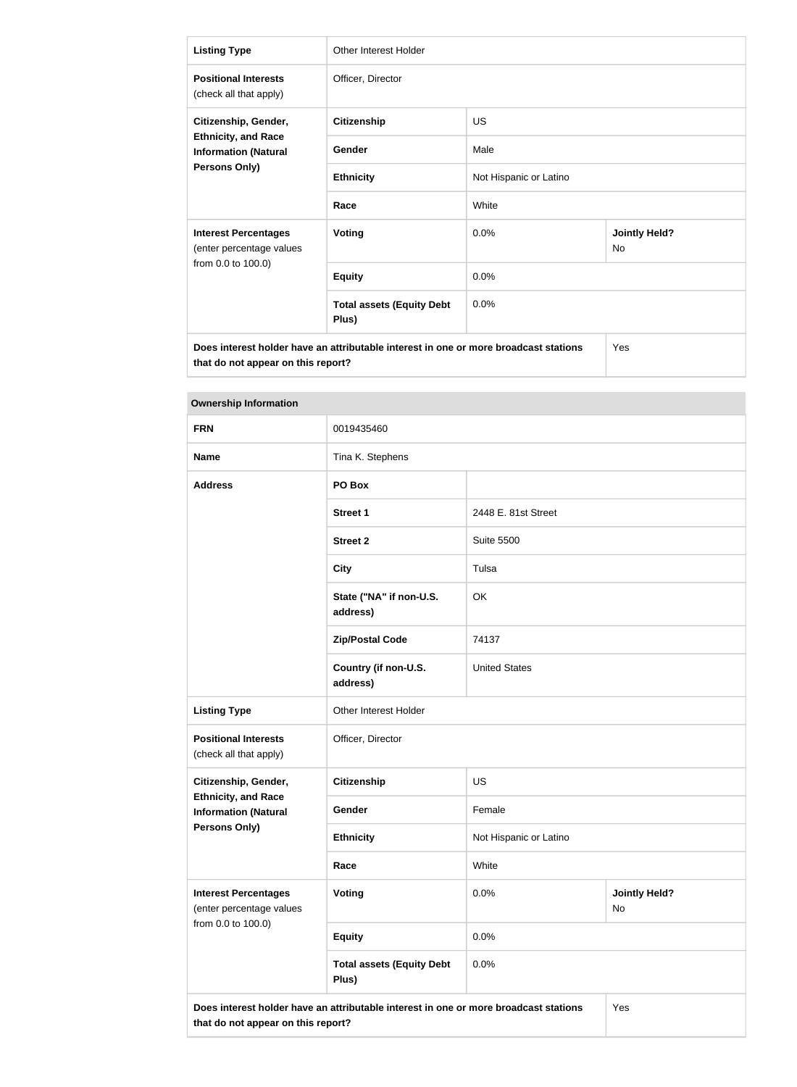| <b>Listing Type</b>                                                                                | Other Interest Holder                     |                        |                            |  |
|----------------------------------------------------------------------------------------------------|-------------------------------------------|------------------------|----------------------------|--|
| <b>Positional Interests</b><br>(check all that apply)                                              | Officer, Director                         |                        |                            |  |
| Citizenship, Gender,<br><b>Ethnicity, and Race</b><br><b>Information (Natural</b><br>Persons Only) | <b>Citizenship</b>                        | <b>US</b>              |                            |  |
|                                                                                                    | Gender                                    | Male                   |                            |  |
|                                                                                                    | <b>Ethnicity</b>                          | Not Hispanic or Latino |                            |  |
|                                                                                                    | Race                                      | White                  |                            |  |
| <b>Interest Percentages</b><br>(enter percentage values<br>from 0.0 to 100.0)                      | <b>Voting</b>                             | 0.0%                   | <b>Jointly Held?</b><br>No |  |
|                                                                                                    | <b>Equity</b>                             | 0.0%                   |                            |  |
|                                                                                                    | <b>Total assets (Equity Debt</b><br>Plus) | 0.0%                   |                            |  |
| Does interest holder have an attributable interest in one or more broadcast stations<br>Yes        |                                           |                        |                            |  |

**that do not appear on this report?**

Yes

| 0019435460                                |                        |                            |
|-------------------------------------------|------------------------|----------------------------|
| Tina K. Stephens                          |                        |                            |
| PO Box                                    |                        |                            |
| <b>Street 1</b>                           | 2448 E. 81st Street    |                            |
| <b>Street 2</b>                           | <b>Suite 5500</b>      |                            |
| <b>City</b>                               | Tulsa                  |                            |
| State ("NA" if non-U.S.<br>address)       | OK                     |                            |
| <b>Zip/Postal Code</b>                    | 74137                  |                            |
| Country (if non-U.S.<br>address)          | <b>United States</b>   |                            |
| Other Interest Holder                     |                        |                            |
| Officer, Director                         |                        |                            |
| <b>Citizenship</b>                        | US                     |                            |
| Gender                                    | Female                 |                            |
| <b>Ethnicity</b>                          | Not Hispanic or Latino |                            |
| Race                                      | White                  |                            |
| Voting                                    | 0.0%                   | <b>Jointly Held?</b><br>No |
| <b>Equity</b>                             | 0.0%                   |                            |
| <b>Total assets (Equity Debt</b><br>Plus) | 0.0%                   |                            |
|                                           |                        |                            |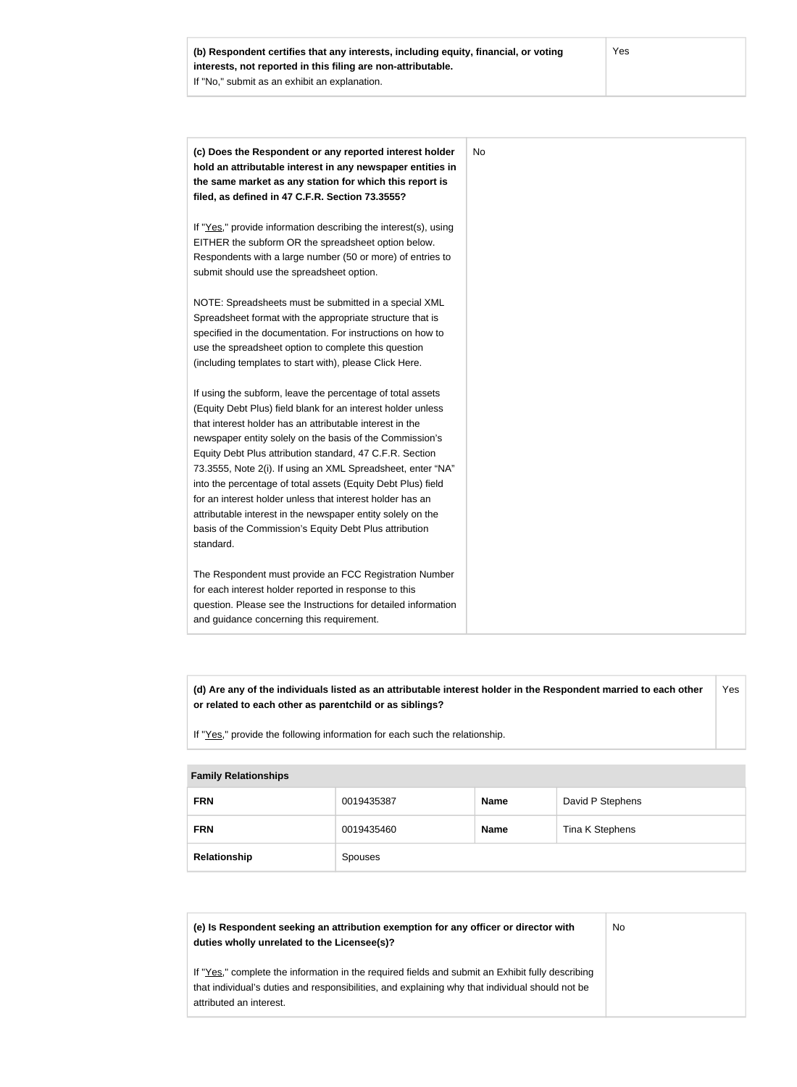|           | (c) Does the Respondent or any reported interest holder         |
|-----------|-----------------------------------------------------------------|
|           | hold an attributable interest in any newspaper entities in      |
|           | the same market as any station for which this report is         |
|           | filed, as defined in 47 C.F.R. Section 73.3555?                 |
|           | If "Yes," provide information describing the interest(s), using |
|           | EITHER the subform OR the spreadsheet option below.             |
|           | Respondents with a large number (50 or more) of entries to      |
|           | submit should use the spreadsheet option.                       |
|           |                                                                 |
|           | NOTE: Spreadsheets must be submitted in a special XML           |
|           | Spreadsheet format with the appropriate structure that is       |
|           | specified in the documentation. For instructions on how to      |
|           | use the spreadsheet option to complete this question            |
|           | (including templates to start with), please Click Here.         |
|           | If using the subform, leave the percentage of total assets      |
|           | (Equity Debt Plus) field blank for an interest holder unless    |
|           | that interest holder has an attributable interest in the        |
|           | newspaper entity solely on the basis of the Commission's        |
|           | Equity Debt Plus attribution standard, 47 C.F.R. Section        |
|           | 73.3555, Note 2(i). If using an XML Spreadsheet, enter "NA"     |
|           | into the percentage of total assets (Equity Debt Plus) field    |
|           | for an interest holder unless that interest holder has an       |
|           | attributable interest in the newspaper entity solely on the     |
|           | basis of the Commission's Equity Debt Plus attribution          |
| standard. |                                                                 |
|           | The Respondent must provide an FCC Registration Number          |
|           | for each interest holder reported in response to this           |
|           | question. Please see the Instructions for detailed information  |
|           | and guidance concerning this requirement.                       |

**(d) Are any of the individuals listed as an attributable interest holder in the Respondent married to each other or related to each other as parentchild or as siblings?** Yes

If "Yes," provide the following information for each such the relationship.

#### **Family Relationships**

| <b>FRN</b>   | 0019435387 | <b>Name</b> | David P Stephens |
|--------------|------------|-------------|------------------|
| <b>FRN</b>   | 0019435460 | <b>Name</b> | Tina K Stephens  |
| Relationship | Spouses    |             |                  |

| (e) Is Respondent seeking an attribution exemption for any officer or director with<br>duties wholly unrelated to the Licensee(s)?                                                                                             | No |
|--------------------------------------------------------------------------------------------------------------------------------------------------------------------------------------------------------------------------------|----|
| If "Yes," complete the information in the required fields and submit an Exhibit fully describing<br>that individual's duties and responsibilities, and explaining why that individual should not be<br>attributed an interest. |    |